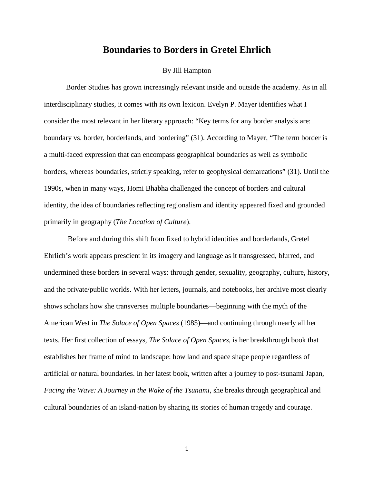## **Boundaries to Borders in Gretel Ehrlich**

## By Jill Hampton

Border Studies has grown increasingly relevant inside and outside the academy. As in all interdisciplinary studies, it comes with its own lexicon. Evelyn P. Mayer identifies what I consider the most relevant in her literary approach: "Key terms for any border analysis are: boundary vs. border, borderlands, and bordering" (31). According to Mayer, "The term border is a multi-faced expression that can encompass geographical boundaries as well as symbolic borders, whereas boundaries, strictly speaking, refer to geophysical demarcations" (31). Until the 1990s, when in many ways, Homi Bhabha challenged the concept of borders and cultural identity, the idea of boundaries reflecting regionalism and identity appeared fixed and grounded primarily in geography (*The Location of Culture*).

Before and during this shift from fixed to hybrid identities and borderlands, Gretel Ehrlich's work appears prescient in its imagery and language as it transgressed, blurred, and undermined these borders in several ways: through gender, sexuality, geography, culture, history, and the private/public worlds. With her letters, journals, and notebooks, her archive most clearly shows scholars how she transverses multiple boundaries—beginning with the myth of the American West in *The Solace of Open Spaces* (1985)—and continuing through nearly all her texts. Her first collection of essays, *The Solace of Open Spaces*, is her breakthrough book that establishes her frame of mind to landscape: how land and space shape people regardless of artificial or natural boundaries. In her latest book, written after a journey to post-tsunami Japan, *Facing the Wave: A Journey in the Wake of the Tsunami*, she breaks through geographical and cultural boundaries of an island-nation by sharing its stories of human tragedy and courage.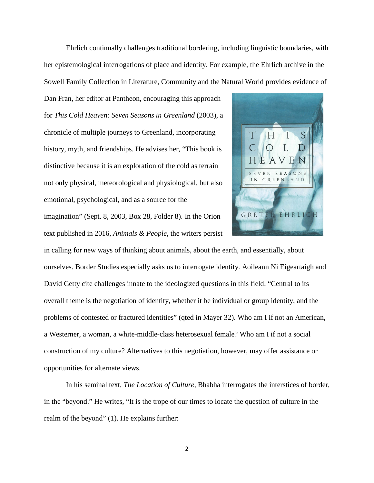Ehrlich continually challenges traditional bordering, including linguistic boundaries, with her epistemological interrogations of place and identity. For example, the Ehrlich archive in the Sowell Family Collection in Literature, Community and the Natural World provides evidence of

Dan Fran, her editor at Pantheon, encouraging this approach for *This Cold Heaven: Seven Seasons in Greenland* (2003), a chronicle of multiple journeys to Greenland, incorporating history, myth, and friendships. He advises her, "This book is distinctive because it is an exploration of the cold as terrain not only physical, meteorological and physiological, but also emotional, psychological, and as a source for the imagination" (Sept. 8, 2003, Box 28, Folder 8). In the Orion

text published in 2016, *Animals & People,* the writers persist



in calling for new ways of thinking about animals, about the earth, and essentially, about ourselves. Border Studies especially asks us to interrogate identity. Aoileann Ni Eigeartaigh and David Getty cite challenges innate to the ideologized questions in this field: "Central to its overall theme is the negotiation of identity, whether it be individual or group identity, and the problems of contested or fractured identities" (qted in Mayer 32). Who am I if not an American, a Westerner, a woman, a white-middle-class heterosexual female? Who am I if not a social construction of my culture? Alternatives to this negotiation, however, may offer assistance or opportunities for alternate views.

In his seminal text, *The Location of Culture*, Bhabha interrogates the interstices of border, in the "beyond." He writes, "It is the trope of our times to locate the question of culture in the realm of the beyond" (1). He explains further: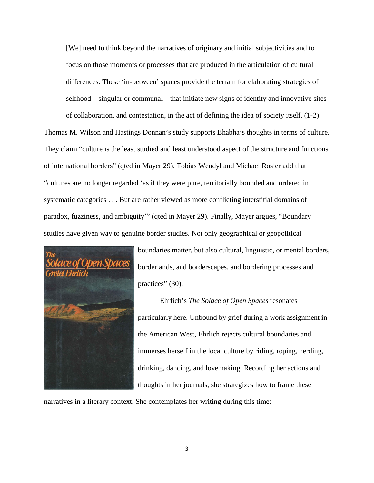[We] need to think beyond the narratives of originary and initial subjectivities and to focus on those moments or processes that are produced in the articulation of cultural differences. These 'in-between' spaces provide the terrain for elaborating strategies of selfhood—singular or communal—that initiate new signs of identity and innovative sites of collaboration, and contestation, in the act of defining the idea of society itself. (1-2)

Thomas M. Wilson and Hastings Donnan's study supports Bhabha's thoughts in terms of culture. They claim "culture is the least studied and least understood aspect of the structure and functions of international borders" (qted in Mayer 29). Tobias Wendyl and Michael Rosler add that "cultures are no longer regarded 'as if they were pure, territorially bounded and ordered in systematic categories . . . But are rather viewed as more conflicting interstitial domains of paradox, fuzziness, and ambiguity'" (qted in Mayer 29). Finally, Mayer argues, "Boundary studies have given way to genuine border studies. Not only geographical or geopolitical



boundaries matter, but also cultural, linguistic, or mental borders, borderlands, and borderscapes, and bordering processes and practices" (30).

Ehrlich's *The Solace of Open Spaces* resonates particularly here. Unbound by grief during a work assignment in the American West, Ehrlich rejects cultural boundaries and immerses herself in the local culture by riding, roping, herding, drinking, dancing, and lovemaking. Recording her actions and thoughts in her journals, she strategizes how to frame these

narratives in a literary context. She contemplates her writing during this time: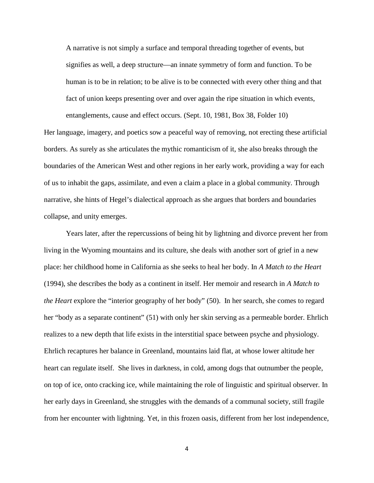A narrative is not simply a surface and temporal threading together of events, but signifies as well, a deep structure—an innate symmetry of form and function. To be human is to be in relation; to be alive is to be connected with every other thing and that fact of union keeps presenting over and over again the ripe situation in which events, entanglements, cause and effect occurs. (Sept. 10, 1981, Box 38, Folder 10)

Her language, imagery, and poetics sow a peaceful way of removing, not erecting these artificial borders. As surely as she articulates the mythic romanticism of it, she also breaks through the boundaries of the American West and other regions in her early work, providing a way for each of us to inhabit the gaps, assimilate, and even a claim a place in a global community. Through narrative, she hints of Hegel's dialectical approach as she argues that borders and boundaries collapse, and unity emerges.

Years later, after the repercussions of being hit by lightning and divorce prevent her from living in the Wyoming mountains and its culture, she deals with another sort of grief in a new place: her childhood home in California as she seeks to heal her body. In *A Match to the Heart* (1994), she describes the body as a continent in itself. Her memoir and research in *A Match to the Heart* explore the "interior geography of her body" (50). In her search, she comes to regard her "body as a separate continent" (51) with only her skin serving as a permeable border. Ehrlich realizes to a new depth that life exists in the interstitial space between psyche and physiology. Ehrlich recaptures her balance in Greenland, mountains laid flat, at whose lower altitude her heart can regulate itself. She lives in darkness, in cold, among dogs that outnumber the people, on top of ice, onto cracking ice, while maintaining the role of linguistic and spiritual observer. In her early days in Greenland, she struggles with the demands of a communal society, still fragile from her encounter with lightning. Yet, in this frozen oasis, different from her lost independence,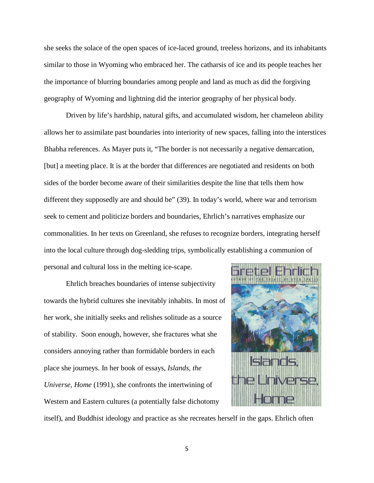she seeks the solace of the open spaces of ice-laced ground, treeless horizons, and its inhabitants similar to those in Wyoming who embraced her. The catharsis of ice and its people teaches her the importance of blurring boundaries among people and land as much as did the forgiving geography of Wyoming and lightning did the interior geography of her physical body.

Driven by life's hardship, natural gifts, and accumulated wisdom, her chameleon ability allows her to assimilate past boundaries into interiority of new spaces, falling into the interstices Bhabha references. As Mayer puts it, "The border is not necessarily a negative demarcation, [but] a meeting place. It is at the border that differences are negotiated and residents on both sides of the border become aware of their similarities despite the line that tells them how different they supposedly are and should be" (39). In today's world, where war and terrorism seek to cement and politicize borders and boundaries, Ehrlich's narratives emphasize our commonalities. In her texts on Greenland, she refuses to recognize borders, integrating herself into the local culture through dog-sledding trips, symbolically establishing a communion of personal and cultural loss in the melting ice-scape.

Ehrlich breaches boundaries of intense subjectivity towards the hybrid cultures she inevitably inhabits. In most of her work, she initially seeks and relishes solitude as a source of stability. Soon enough, however, she fractures what she considers annoying rather than formidable borders in each place she journeys. In her book of essays, *Islands, the Universe, Home* (1991), she confronts the intertwining of Western and Eastern cultures (a potentially false dichotomy



itself), and Buddhist ideology and practice as she recreates herself in the gaps. Ehrlich often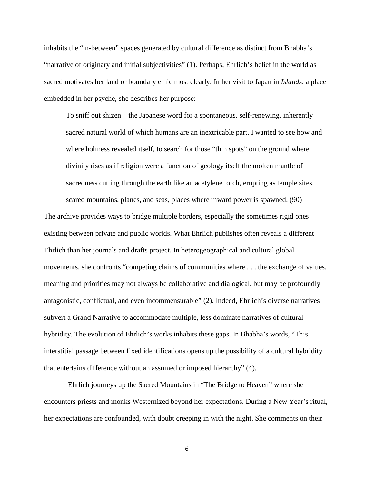inhabits the "in-between" spaces generated by cultural difference as distinct from Bhabha's "narrative of originary and initial subjectivities" (1). Perhaps, Ehrlich's belief in the world as sacred motivates her land or boundary ethic most clearly. In her visit to Japan in *Islands*, a place embedded in her psyche, she describes her purpose:

To sniff out shizen—the Japanese word for a spontaneous, self-renewing, inherently sacred natural world of which humans are an inextricable part. I wanted to see how and where holiness revealed itself, to search for those "thin spots" on the ground where divinity rises as if religion were a function of geology itself the molten mantle of sacredness cutting through the earth like an acetylene torch, erupting as temple sites, scared mountains, planes, and seas, places where inward power is spawned. (90)

The archive provides ways to bridge multiple borders, especially the sometimes rigid ones existing between private and public worlds. What Ehrlich publishes often reveals a different Ehrlich than her journals and drafts project. In heterogeographical and cultural global movements, she confronts "competing claims of communities where . . . the exchange of values, meaning and priorities may not always be collaborative and dialogical, but may be profoundly antagonistic, conflictual, and even incommensurable" (2). Indeed, Ehrlich's diverse narratives subvert a Grand Narrative to accommodate multiple, less dominate narratives of cultural hybridity. The evolution of Ehrlich's works inhabits these gaps. In Bhabha's words, "This interstitial passage between fixed identifications opens up the possibility of a cultural hybridity that entertains difference without an assumed or imposed hierarchy" (4).

Ehrlich journeys up the Sacred Mountains in "The Bridge to Heaven" where she encounters priests and monks Westernized beyond her expectations. During a New Year's ritual, her expectations are confounded, with doubt creeping in with the night. She comments on their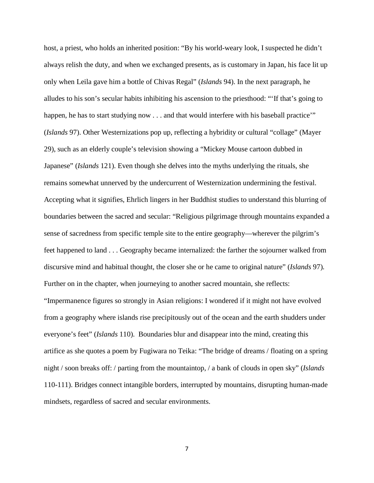host, a priest, who holds an inherited position: "By his world-weary look, I suspected he didn't always relish the duty, and when we exchanged presents, as is customary in Japan, his face lit up only when Leila gave him a bottle of Chivas Regal" (*Islands* 94). In the next paragraph, he alludes to his son's secular habits inhibiting his ascension to the priesthood: "'If that's going to happen, he has to start studying now . . . and that would interfere with his baseball practice'" (*Islands* 97). Other Westernizations pop up, reflecting a hybridity or cultural "collage" (Mayer 29), such as an elderly couple's television showing a "Mickey Mouse cartoon dubbed in Japanese" (*Islands* 121). Even though she delves into the myths underlying the rituals, she remains somewhat unnerved by the undercurrent of Westernization undermining the festival. Accepting what it signifies, Ehrlich lingers in her Buddhist studies to understand this blurring of boundaries between the sacred and secular: "Religious pilgrimage through mountains expanded a sense of sacredness from specific temple site to the entire geography—wherever the pilgrim's feet happened to land . . . Geography became internalized: the farther the sojourner walked from discursive mind and habitual thought, the closer she or he came to original nature" (*Islands* 97). Further on in the chapter, when journeying to another sacred mountain, she reflects: "Impermanence figures so strongly in Asian religions: I wondered if it might not have evolved from a geography where islands rise precipitously out of the ocean and the earth shudders under everyone's feet" (*Islands* 110). Boundaries blur and disappear into the mind, creating this artifice as she quotes a poem by Fugiwara no Teika: "The bridge of dreams / floating on a spring night / soon breaks off: / parting from the mountaintop, / a bank of clouds in open sky" (*Islands* 110-111). Bridges connect intangible borders, interrupted by mountains, disrupting human-made mindsets, regardless of sacred and secular environments.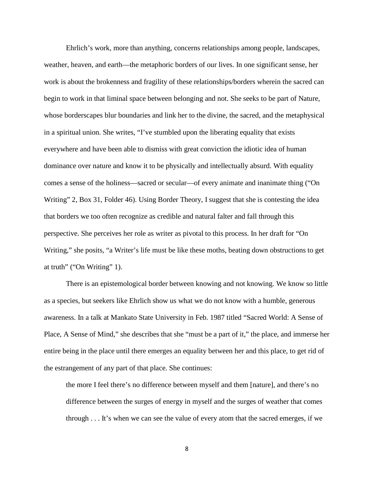Ehrlich's work, more than anything, concerns relationships among people, landscapes, weather, heaven, and earth—the metaphoric borders of our lives. In one significant sense, her work is about the brokenness and fragility of these relationships/borders wherein the sacred can begin to work in that liminal space between belonging and not. She seeks to be part of Nature, whose borderscapes blur boundaries and link her to the divine, the sacred, and the metaphysical in a spiritual union. She writes, "I've stumbled upon the liberating equality that exists everywhere and have been able to dismiss with great conviction the idiotic idea of human dominance over nature and know it to be physically and intellectually absurd. With equality comes a sense of the holiness—sacred or secular—of every animate and inanimate thing ("On Writing" 2, Box 31, Folder 46). Using Border Theory, I suggest that she is contesting the idea that borders we too often recognize as credible and natural falter and fall through this perspective. She perceives her role as writer as pivotal to this process. In her draft for "On Writing," she posits, "a Writer's life must be like these moths, beating down obstructions to get at truth" ("On Writing" 1).

There is an epistemological border between knowing and not knowing. We know so little as a species, but seekers like Ehrlich show us what we do not know with a humble, generous awareness. In a talk at Mankato State University in Feb. 1987 titled "Sacred World: A Sense of Place, A Sense of Mind," she describes that she "must be a part of it," the place, and immerse her entire being in the place until there emerges an equality between her and this place, to get rid of the estrangement of any part of that place. She continues:

the more I feel there's no difference between myself and them [nature], and there's no difference between the surges of energy in myself and the surges of weather that comes through . . . It's when we can see the value of every atom that the sacred emerges, if we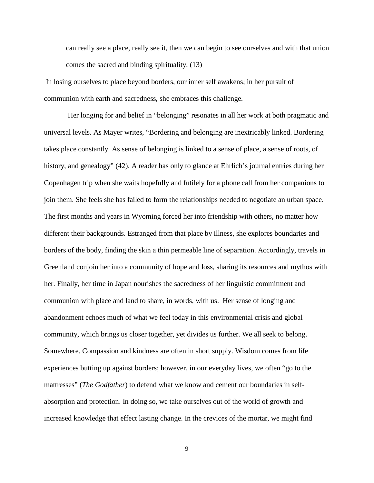can really see a place, really see it, then we can begin to see ourselves and with that union comes the sacred and binding spirituality. (13)

In losing ourselves to place beyond borders, our inner self awakens; in her pursuit of communion with earth and sacredness, she embraces this challenge.

Her longing for and belief in "belonging" resonates in all her work at both pragmatic and universal levels. As Mayer writes, "Bordering and belonging are inextricably linked. Bordering takes place constantly. As sense of belonging is linked to a sense of place, a sense of roots, of history, and genealogy" (42). A reader has only to glance at Ehrlich's journal entries during her Copenhagen trip when she waits hopefully and futilely for a phone call from her companions to join them. She feels she has failed to form the relationships needed to negotiate an urban space. The first months and years in Wyoming forced her into friendship with others, no matter how different their backgrounds. Estranged from that place by illness, she explores boundaries and borders of the body, finding the skin a thin permeable line of separation. Accordingly, travels in Greenland conjoin her into a community of hope and loss, sharing its resources and mythos with her. Finally, her time in Japan nourishes the sacredness of her linguistic commitment and communion with place and land to share, in words, with us. Her sense of longing and abandonment echoes much of what we feel today in this environmental crisis and global community, which brings us closer together, yet divides us further. We all seek to belong. Somewhere. Compassion and kindness are often in short supply. Wisdom comes from life experiences butting up against borders; however, in our everyday lives, we often "go to the mattresses" (*The Godfather*) to defend what we know and cement our boundaries in selfabsorption and protection. In doing so, we take ourselves out of the world of growth and increased knowledge that effect lasting change. In the crevices of the mortar, we might find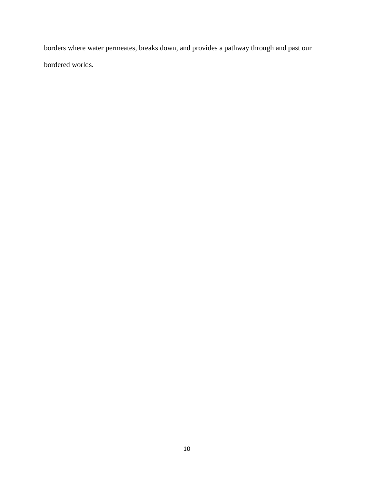borders where water permeates, breaks down, and provides a pathway through and past our bordered worlds.